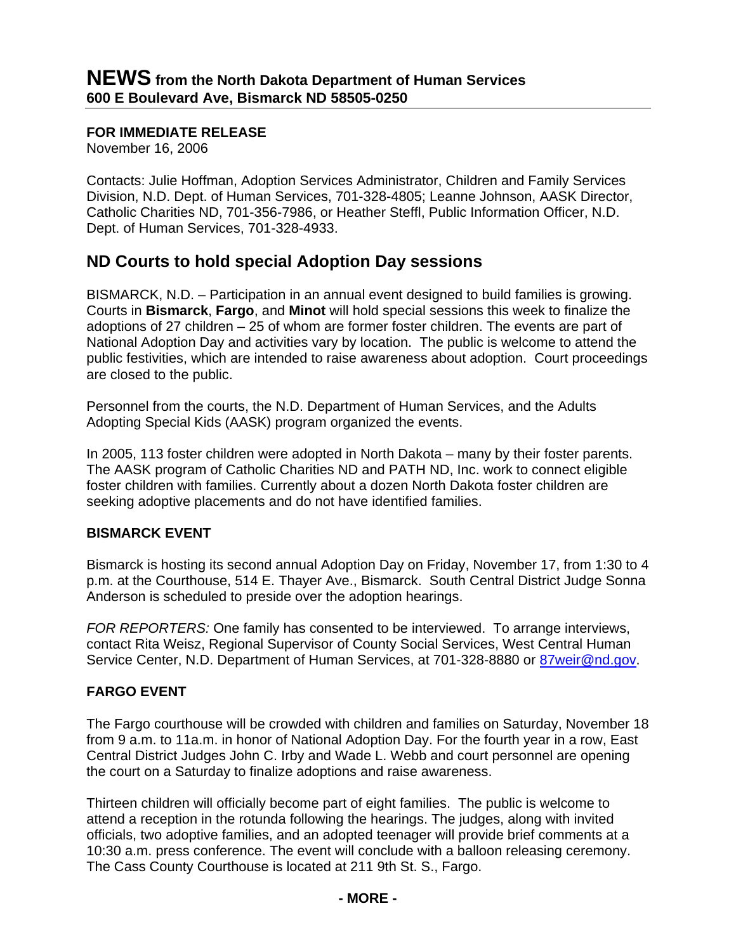## **FOR IMMEDIATE RELEASE**

November 16, 2006

Contacts: Julie Hoffman, Adoption Services Administrator, Children and Family Services Division, N.D. Dept. of Human Services, 701-328-4805; Leanne Johnson, AASK Director, Catholic Charities ND, 701-356-7986, or Heather Steffl, Public Information Officer, N.D. Dept. of Human Services, 701-328-4933.

# **ND Courts to hold special Adoption Day sessions**

BISMARCK, N.D. – Participation in an annual event designed to build families is growing. Courts in **Bismarck**, **Fargo**, and **Minot** will hold special sessions this week to finalize the adoptions of 27 children – 25 of whom are former foster children. The events are part of National Adoption Day and activities vary by location. The public is welcome to attend the public festivities, which are intended to raise awareness about adoption. Court proceedings are closed to the public.

Personnel from the courts, the N.D. Department of Human Services, and the Adults Adopting Special Kids (AASK) program organized the events.

In 2005, 113 foster children were adopted in North Dakota – many by their foster parents. The AASK program of Catholic Charities ND and PATH ND, Inc. work to connect eligible foster children with families. Currently about a dozen North Dakota foster children are seeking adoptive placements and do not have identified families.

#### **BISMARCK EVENT**

Bismarck is hosting its second annual Adoption Day on Friday, November 17, from 1:30 to 4 p.m. at the Courthouse, 514 E. Thayer Ave., Bismarck. South Central District Judge Sonna Anderson is scheduled to preside over the adoption hearings.

*FOR REPORTERS:* One family has consented to be interviewed. To arrange interviews, contact Rita Weisz, Regional Supervisor of County Social Services, West Central Human Service Center, N.D. Department of Human Services, at 701-328-8880 or 87weir@nd.gov.

#### **FARGO EVENT**

The Fargo courthouse will be crowded with children and families on Saturday, November 18 from 9 a.m. to 11a.m. in honor of National Adoption Day. For the fourth year in a row, East Central District Judges John C. Irby and Wade L. Webb and court personnel are opening the court on a Saturday to finalize adoptions and raise awareness.

Thirteen children will officially become part of eight families. The public is welcome to attend a reception in the rotunda following the hearings. The judges, along with invited officials, two adoptive families, and an adopted teenager will provide brief comments at a 10:30 a.m. press conference. The event will conclude with a balloon releasing ceremony. The Cass County Courthouse is located at 211 9th St. S., Fargo.